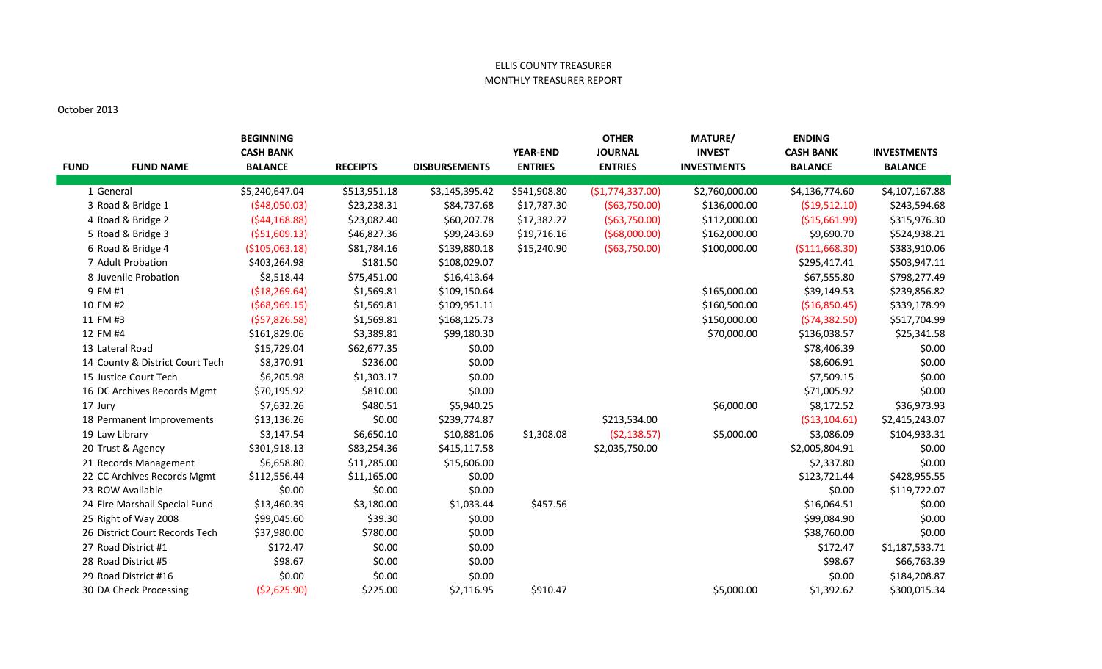## ELLIS COUNTY TREASURER MONTHLY TREASURER REPORT

## October 2013

|             |                                 | <b>BEGINNING</b> |                 |                      |                 | <b>OTHER</b>     | <b>MATURE/</b>     | <b>ENDING</b>    |                    |
|-------------|---------------------------------|------------------|-----------------|----------------------|-----------------|------------------|--------------------|------------------|--------------------|
|             |                                 | <b>CASH BANK</b> |                 |                      | <b>YEAR-END</b> | <b>JOURNAL</b>   | <b>INVEST</b>      | <b>CASH BANK</b> | <b>INVESTMENTS</b> |
| <b>FUND</b> | <b>FUND NAME</b>                | <b>BALANCE</b>   | <b>RECEIPTS</b> | <b>DISBURSEMENTS</b> | <b>ENTRIES</b>  | <b>ENTRIES</b>   | <b>INVESTMENTS</b> | <b>BALANCE</b>   | <b>BALANCE</b>     |
|             | 1 General                       | \$5,240,647.04   | \$513,951.18    | \$3,145,395.42       | \$541,908.80    | (\$1,774,337.00) | \$2,760,000.00     | \$4,136,774.60   | \$4,107,167.88     |
|             | 3 Road & Bridge 1               | (548,050.03)     | \$23,238.31     | \$84,737.68          | \$17,787.30     | ( \$63,750.00)   | \$136,000.00       | ( \$19,512.10)   | \$243,594.68       |
|             | 4 Road & Bridge 2               | (544, 168.88)    | \$23,082.40     | \$60,207.78          | \$17,382.27     | ( \$63,750.00)   | \$112,000.00       | (\$15,661.99)    | \$315,976.30       |
|             | 5 Road & Bridge 3               | ( \$51,609.13)   | \$46,827.36     | \$99,243.69          | \$19,716.16     | ( \$68,000.00)   | \$162,000.00       | \$9,690.70       | \$524,938.21       |
|             | 6 Road & Bridge 4               | (\$105,063.18)   | \$81,784.16     | \$139,880.18         | \$15,240.90     | ( \$63,750.00)   | \$100,000.00       | ( \$111,668.30)  | \$383,910.06       |
|             | 7 Adult Probation               | \$403,264.98     | \$181.50        | \$108,029.07         |                 |                  |                    | \$295,417.41     | \$503,947.11       |
|             | 8 Juvenile Probation            | \$8,518.44       | \$75,451.00     | \$16,413.64          |                 |                  |                    | \$67,555.80      | \$798,277.49       |
|             | 9 FM #1                         | ( \$18, 269.64)  | \$1,569.81      | \$109,150.64         |                 |                  | \$165,000.00       | \$39,149.53      | \$239,856.82       |
|             | 10 FM #2                        | (568,969.15)     | \$1,569.81      | \$109,951.11         |                 |                  | \$160,500.00       | (\$16,850.45)    | \$339,178.99       |
|             | 11 FM #3                        | (557, 826.58)    | \$1,569.81      | \$168,125.73         |                 |                  | \$150,000.00       | (574, 382.50)    | \$517,704.99       |
|             | 12 FM #4                        | \$161,829.06     | \$3,389.81      | \$99,180.30          |                 |                  | \$70,000.00        | \$136,038.57     | \$25,341.58        |
|             | 13 Lateral Road                 | \$15,729.04      | \$62,677.35     | \$0.00               |                 |                  |                    | \$78,406.39      | \$0.00             |
|             | 14 County & District Court Tech | \$8,370.91       | \$236.00        | \$0.00               |                 |                  |                    | \$8,606.91       | \$0.00             |
|             | 15 Justice Court Tech           | \$6,205.98       | \$1,303.17      | \$0.00               |                 |                  |                    | \$7,509.15       | \$0.00             |
|             | 16 DC Archives Records Mgmt     | \$70,195.92      | \$810.00        | \$0.00               |                 |                  |                    | \$71,005.92      | \$0.00             |
|             | 17 Jury                         | \$7,632.26       | \$480.51        | \$5,940.25           |                 |                  | \$6,000.00         | \$8,172.52       | \$36,973.93        |
|             | 18 Permanent Improvements       | \$13,136.26      | \$0.00          | \$239,774.87         |                 | \$213,534.00     |                    | ( \$13, 104.61)  | \$2,415,243.07     |
|             | 19 Law Library                  | \$3,147.54       | \$6,650.10      | \$10,881.06          | \$1,308.08      | (52, 138.57)     | \$5,000.00         | \$3,086.09       | \$104,933.31       |
|             | 20 Trust & Agency               | \$301,918.13     | \$83,254.36     | \$415,117.58         |                 | \$2,035,750.00   |                    | \$2,005,804.91   | \$0.00             |
|             | 21 Records Management           | \$6,658.80       | \$11,285.00     | \$15,606.00          |                 |                  |                    | \$2,337.80       | \$0.00             |
|             | 22 CC Archives Records Mgmt     | \$112,556.44     | \$11,165.00     | \$0.00               |                 |                  |                    | \$123,721.44     | \$428,955.55       |
|             | 23 ROW Available                | \$0.00           | \$0.00          | \$0.00               |                 |                  |                    | \$0.00           | \$119,722.07       |
|             | 24 Fire Marshall Special Fund   | \$13,460.39      | \$3,180.00      | \$1,033.44           | \$457.56        |                  |                    | \$16,064.51      | \$0.00             |
|             | 25 Right of Way 2008            | \$99,045.60      | \$39.30         | \$0.00               |                 |                  |                    | \$99,084.90      | \$0.00             |
|             | 26 District Court Records Tech  | \$37,980.00      | \$780.00        | \$0.00               |                 |                  |                    | \$38,760.00      | \$0.00             |
|             | 27 Road District #1             | \$172.47         | \$0.00          | \$0.00               |                 |                  |                    | \$172.47         | \$1,187,533.71     |
|             | 28 Road District #5             | \$98.67          | \$0.00          | \$0.00               |                 |                  |                    | \$98.67          | \$66,763.39        |
|             | 29 Road District #16            | \$0.00           | \$0.00          | \$0.00               |                 |                  |                    | \$0.00           | \$184,208.87       |
|             | 30 DA Check Processing          | ( \$2,625.90)    | \$225.00        | \$2,116.95           | \$910.47        |                  | \$5,000.00         | \$1,392.62       | \$300,015.34       |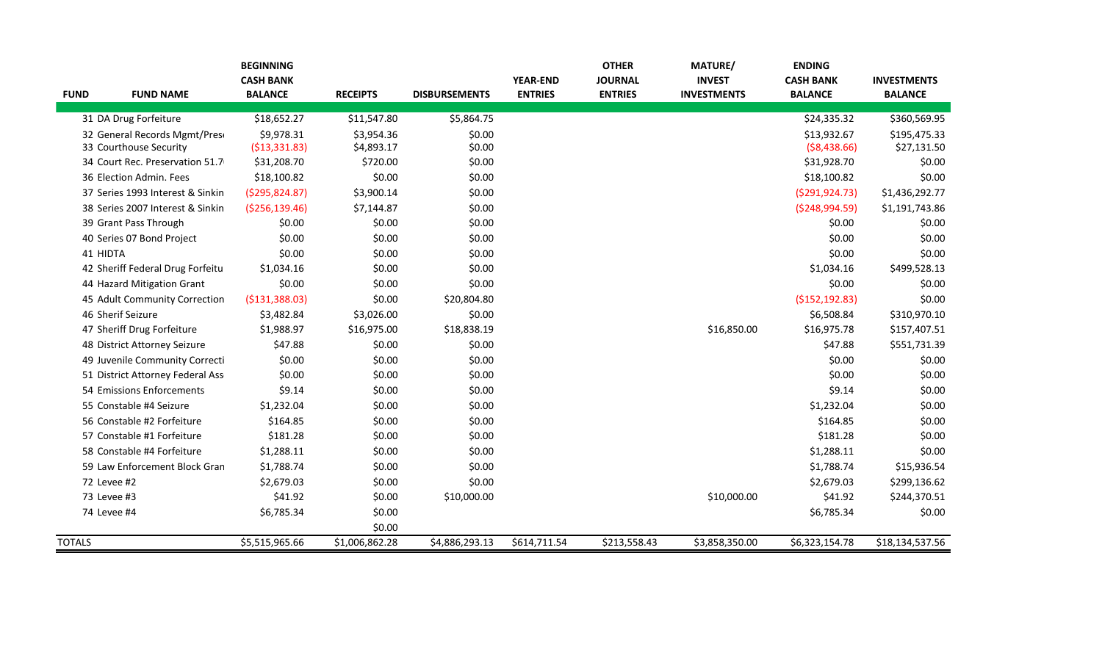|               |                                  | <b>BEGINNING</b>                   |                 |                      |                                   | <b>OTHER</b>                     | <b>MATURE/</b>                      | <b>ENDING</b>                      |                                      |
|---------------|----------------------------------|------------------------------------|-----------------|----------------------|-----------------------------------|----------------------------------|-------------------------------------|------------------------------------|--------------------------------------|
| <b>FUND</b>   | <b>FUND NAME</b>                 | <b>CASH BANK</b><br><b>BALANCE</b> | <b>RECEIPTS</b> | <b>DISBURSEMENTS</b> | <b>YEAR-END</b><br><b>ENTRIES</b> | <b>JOURNAL</b><br><b>ENTRIES</b> | <b>INVEST</b><br><b>INVESTMENTS</b> | <b>CASH BANK</b><br><b>BALANCE</b> | <b>INVESTMENTS</b><br><b>BALANCE</b> |
|               |                                  |                                    |                 |                      |                                   |                                  |                                     |                                    |                                      |
|               | 31 DA Drug Forfeiture            | \$18,652.27                        | \$11,547.80     | \$5,864.75           |                                   |                                  |                                     | \$24,335.32                        | \$360,569.95                         |
|               | 32 General Records Mgmt/Pres     | \$9,978.31                         | \$3,954.36      | \$0.00               |                                   |                                  |                                     | \$13,932.67                        | \$195,475.33                         |
|               | 33 Courthouse Security           | ( \$13,331.83)                     | \$4,893.17      | \$0.00               |                                   |                                  |                                     | ( \$8,438.66)                      | \$27,131.50                          |
|               | 34 Court Rec. Preservation 51.7  | \$31,208.70                        | \$720.00        | \$0.00               |                                   |                                  |                                     | \$31,928.70                        | \$0.00                               |
|               | 36 Election Admin. Fees          | \$18,100.82                        | \$0.00          | \$0.00               |                                   |                                  |                                     | \$18,100.82                        | \$0.00                               |
|               | 37 Series 1993 Interest & Sinkin | (5295, 824.87)                     | \$3,900.14      | \$0.00               |                                   |                                  |                                     | (5291, 924.73)                     | \$1,436,292.77                       |
|               | 38 Series 2007 Interest & Sinkin | ( \$256, 139.46)                   | \$7,144.87      | \$0.00               |                                   |                                  |                                     | ( \$248, 994.59)                   | \$1,191,743.86                       |
|               | 39 Grant Pass Through            | \$0.00                             | \$0.00          | \$0.00               |                                   |                                  |                                     | \$0.00                             | \$0.00                               |
|               | 40 Series 07 Bond Project        | \$0.00                             | \$0.00          | \$0.00               |                                   |                                  |                                     | \$0.00                             | \$0.00                               |
| 41 HIDTA      |                                  | \$0.00                             | \$0.00          | \$0.00               |                                   |                                  |                                     | \$0.00                             | \$0.00                               |
|               | 42 Sheriff Federal Drug Forfeitu | \$1,034.16                         | \$0.00          | \$0.00               |                                   |                                  |                                     | \$1,034.16                         | \$499,528.13                         |
|               | 44 Hazard Mitigation Grant       | \$0.00                             | \$0.00          | \$0.00               |                                   |                                  |                                     | \$0.00                             | \$0.00                               |
|               | 45 Adult Community Correction    | ( \$131, 388.03)                   | \$0.00          | \$20,804.80          |                                   |                                  |                                     | ( \$152, 192.83)                   | \$0.00                               |
|               | 46 Sherif Seizure                | \$3,482.84                         | \$3,026.00      | \$0.00               |                                   |                                  |                                     | \$6,508.84                         | \$310,970.10                         |
|               | 47 Sheriff Drug Forfeiture       | \$1,988.97                         | \$16,975.00     | \$18,838.19          |                                   |                                  | \$16,850.00                         | \$16,975.78                        | \$157,407.51                         |
|               | 48 District Attorney Seizure     | \$47.88                            | \$0.00          | \$0.00               |                                   |                                  |                                     | \$47.88                            | \$551,731.39                         |
|               | 49 Juvenile Community Correcti   | \$0.00                             | \$0.00          | \$0.00               |                                   |                                  |                                     | \$0.00                             | \$0.00                               |
|               | 51 District Attorney Federal Ass | \$0.00                             | \$0.00          | \$0.00               |                                   |                                  |                                     | \$0.00                             | \$0.00                               |
|               | 54 Emissions Enforcements        | \$9.14                             | \$0.00          | \$0.00               |                                   |                                  |                                     | \$9.14                             | \$0.00                               |
|               | 55 Constable #4 Seizure          | \$1,232.04                         | \$0.00          | \$0.00               |                                   |                                  |                                     | \$1,232.04                         | \$0.00                               |
|               | 56 Constable #2 Forfeiture       | \$164.85                           | \$0.00          | \$0.00               |                                   |                                  |                                     | \$164.85                           | \$0.00                               |
|               | 57 Constable #1 Forfeiture       | \$181.28                           | \$0.00          | \$0.00               |                                   |                                  |                                     | \$181.28                           | \$0.00                               |
|               | 58 Constable #4 Forfeiture       | \$1,288.11                         | \$0.00          | \$0.00               |                                   |                                  |                                     | \$1,288.11                         | \$0.00                               |
|               | 59 Law Enforcement Block Gran    | \$1,788.74                         | \$0.00          | \$0.00               |                                   |                                  |                                     | \$1,788.74                         | \$15,936.54                          |
| 72 Levee #2   |                                  | \$2,679.03                         | \$0.00          | \$0.00               |                                   |                                  |                                     | \$2,679.03                         | \$299,136.62                         |
| 73 Levee #3   |                                  | \$41.92                            | \$0.00          | \$10,000.00          |                                   |                                  | \$10,000.00                         | \$41.92                            | \$244,370.51                         |
| 74 Levee #4   |                                  | \$6,785.34                         | \$0.00          |                      |                                   |                                  |                                     | \$6,785.34                         | \$0.00                               |
|               |                                  |                                    | \$0.00          |                      |                                   |                                  |                                     |                                    |                                      |
| <b>TOTALS</b> |                                  | \$5,515,965.66                     | \$1,006,862.28  | \$4,886,293.13       | \$614,711.54                      | \$213,558.43                     | \$3,858,350.00                      | \$6,323,154.78                     | \$18,134,537.56                      |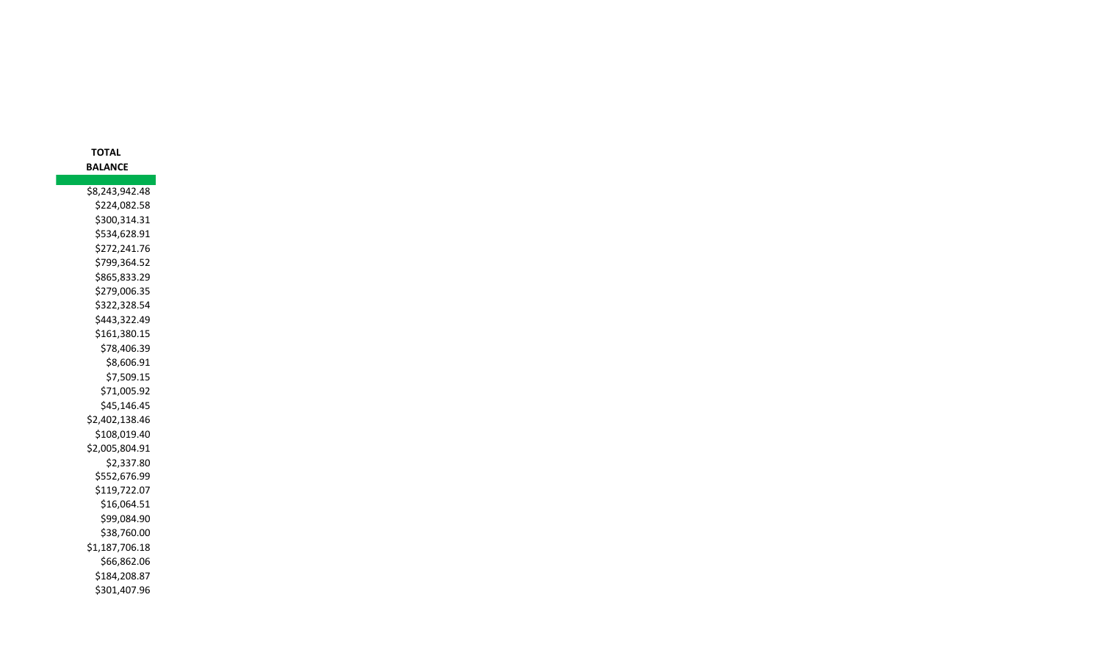| TOTAL          |
|----------------|
| <b>BALANCE</b> |
|                |
| \$8,243,942.48 |
| \$224,082.58   |
| \$300,314.31   |
| \$534,628.91   |
| \$272,241.76   |
| \$799,364.52   |
| \$865,833.29   |
| \$279,006.35   |
| \$322,328.54   |
| \$443,322.49   |
| \$161,380.15   |
| \$78,406.39    |
| \$8,606.91     |
| \$7,509.15     |
| \$71,005.92    |
| \$45,146.45    |
| \$2,402,138.46 |
| \$108,019.40   |
| \$2,005,804.91 |
| \$2,337.80     |
| \$552,676.99   |
| \$119,722.07   |
| \$16,064.51    |
| \$99,084.90    |
| \$38,760.00    |
| \$1,187,706.18 |
| \$66,862.06    |
| \$184,208.87   |
| \$301,407.96   |